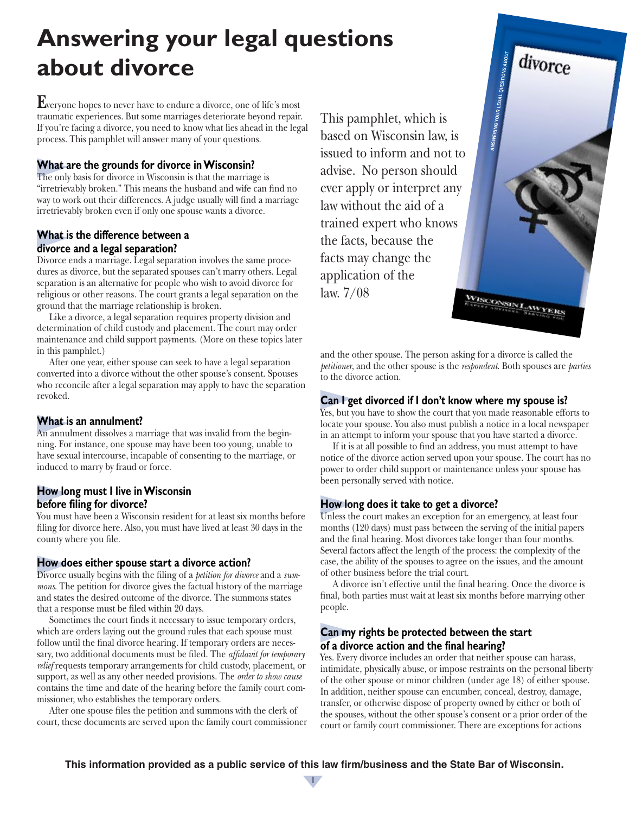# **Answering your legal questions about divorce**

**E**veryone hopes to never have to endure a divorce, one of life's most traumatic experiences. But some marriages deteriorate beyond repair. If you're facing a divorce, you need to know what lies ahead in the legal process. This pamphlet will answer many of your questions.

## **What are the grounds for divorce in Wisconsin?**

The only basis for divorce in Wisconsin is that the marriage is "irretrievably broken." This means the husband and wife can find no way to work out their differences. A judge usually will find a marriage irretrievably broken even if only one spouse wants a divorce.

## **What is the difference between a divorce and a legal separation?**

Divorce ends a marriage. Legal separation involves the same procedures as divorce, but the separated spouses can't marry others. Legal separation is an alternative for people who wish to avoid divorce for religious or other reasons. The court grants a legal separation on the ground that the marriage relationship is broken.

Like a divorce, a legal separation requires property division and determination of child custody and placement. The court may order maintenance and child support payments. (More on these topics later in this pamphlet.)

After one year, either spouse can seek to have a legal separation converted into a divorce without the other spouse's consent. Spouses who reconcile after a legal separation may apply to have the separation revoked.

## **What is an annulment?**

An annulment dissolves a marriage that was invalid from the beginning. For instance, one spouse may have been too young, unable to have sexual intercourse, incapable of consenting to the marriage, or induced to marry by fraud or force.

# **How long must I live in Wisconsin before filing for divorce?**

You must have been a Wisconsin resident for at least six months before filing for divorce here. Also, you must have lived at least 30 days in the county where you file.

## **How does either spouse start a divorce action?**

Divorce usually begins with the filing of a *petition for divorce* and a *summons*. The petition for divorce gives the factual history of the marriage and states the desired outcome of the divorce. The summons states that a response must be filed within 20 days.

Sometimes the court finds it necessary to issue temporary orders, which are orders laying out the ground rules that each spouse must follow until the final divorce hearing. If temporary orders are necessary, two additional documents must be filed. The *affidavit for temporary relief* requests temporary arrangements for child custody, placement, or support, as well as any other needed provisions. The *order to show cause* contains the time and date of the hearing before the family court commissioner, who establishes the temporary orders.

After one spouse files the petition and summons with the clerk of court, these documents are served upon the family court commissioner

This pamphlet, which is based on Wisconsin law, is issued to inform and not to advise. No person should ever apply or interpret any law without the aid of a trained expert who knows the facts, because the facts may change the application of the law. 7/08 WISCONSINI AWYERS

and the other spouse. The person asking for a divorce is called the *petitioner*, and the other spouse is the *respondent*. Both spouses are *parties* to the divorce action.

ANSWERING YOUR LEGAL QUESTIONS ABOUT

divorce

# **Can I get divorced if I don't know where my spouse is?**

Yes, but you have to show the court that you made reasonable efforts to locate your spouse. You also must publish a notice in a local newspaper in an attempt to inform your spouse that you have started a divorce.

If it is at all possible to find an address, you must attempt to have notice of the divorce action served upon your spouse. The court has no power to order child support or maintenance unless your spouse has been personally served with notice.

# **How long does it take to get a divorce?**

Unless the court makes an exception for an emergency, at least four months (120 days) must pass between the serving of the initial papers and the final hearing. Most divorces take longer than four months. Several factors affect the length of the process: the complexity of the case, the ability of the spouses to agree on the issues, and the amount of other business before the trial court.

A divorce isn't effective until the final hearing. Once the divorce is final, both parties must wait at least six months before marrying other people.

# **Can my rights be protected between the start of a divorce action and the final hearing?**

Yes. Every divorce includes an order that neither spouse can harass, intimidate, physically abuse, or impose restraints on the personal liberty of the other spouse or minor children (under age 18) of either spouse. In addition, neither spouse can encumber, conceal, destroy, damage, transfer, or otherwise dispose of property owned by either or both of the spouses, without the other spouse's consent or a prior order of the court or family court commissioner. There are exceptions for actions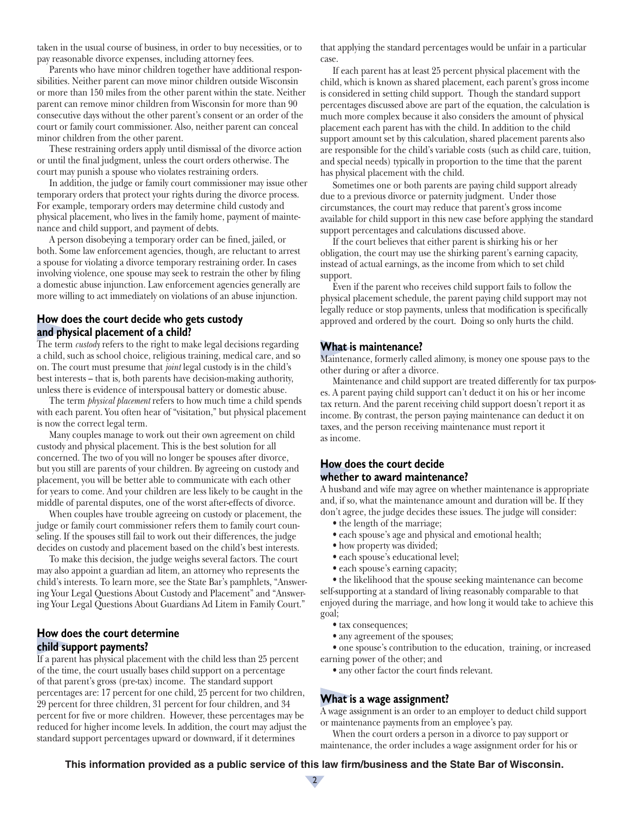taken in the usual course of business, in order to buy necessities, or to pay reasonable divorce expenses, including attorney fees.

Parents who have minor children together have additional responsibilities. Neither parent can move minor children outside Wisconsin or more than 150 miles from the other parent within the state. Neither parent can remove minor children from Wisconsin for more than 90 consecutive days without the other parent's consent or an order of the court or family court commissioner. Also, neither parent can conceal minor children from the other parent.

These restraining orders apply until dismissal of the divorce action or until the final judgment, unless the court orders otherwise. The court may punish a spouse who violates restraining orders.

In addition, the judge or family court commissioner may issue other temporary orders that protect your rights during the divorce process. For example, temporary orders may determine child custody and physical placement, who lives in the family home, payment of maintenance and child support, and payment of debts.

A person disobeying a temporary order can be fined, jailed, or both. Some law enforcement agencies, though, are reluctant to arrest a spouse for violating a divorce temporary restraining order. In cases involving violence, one spouse may seek to restrain the other by filing a domestic abuse injunction. Law enforcement agencies generally are more willing to act immediately on violations of an abuse injunction.

#### **How does the court decide who gets custody and physical placement of a child?**

The term *custody* refers to the right to make legal decisions regarding a child, such as school choice, religious training, medical care, and so on. The court must presume that *joint* legal custody is in the child's best interests – that is, both parents have decision-making authority, unless there is evidence of interspousal battery or domestic abuse.

The term *physical placement* refers to how much time a child spends with each parent. You often hear of "visitation," but physical placement is now the correct legal term.

Many couples manage to work out their own agreement on child custody and physical placement. This is the best solution for all concerned. The two of you will no longer be spouses after divorce, but you still are parents of your children. By agreeing on custody and placement, you will be better able to communicate with each other for years to come. And your children are less likely to be caught in the middle of parental disputes, one of the worst after-effects of divorce.

When couples have trouble agreeing on custody or placement, the judge or family court commissioner refers them to family court counseling. If the spouses still fail to work out their differences, the judge decides on custody and placement based on the child's best interests.

To make this decision, the judge weighs several factors. The court may also appoint a guardian ad litem, an attorney who represents the child's interests. To learn more, see the State Bar's pamphlets, "Answering Your Legal Questions About Custody and Placement" and "Answering Your Legal Questions About Guardians Ad Litem in Family Court."

## **How does the court determine child support payments?**

If a parent has physical placement with the child less than 25 percent of the time, the court usually bases child support on a percentage of that parent's gross (pre-tax) income. The standard support percentages are: 17 percent for one child, 25 percent for two children, 29 percent for three children, 31 percent for four children, and 34 percent for five or more children. However, these percentages may be reduced for higher income levels. In addition, the court may adjust the standard support percentages upward or downward, if it determines

that applying the standard percentages would be unfair in a particular case.

If each parent has at least 25 percent physical placement with the child, which is known as shared placement, each parent's gross income is considered in setting child support. Though the standard support percentages discussed above are part of the equation, the calculation is much more complex because it also considers the amount of physical placement each parent has with the child. In addition to the child support amount set by this calculation, shared placement parents also are responsible for the child's variable costs (such as child care, tuition, and special needs) typically in proportion to the time that the parent has physical placement with the child.

Sometimes one or both parents are paying child support already due to a previous divorce or paternity judgment. Under those circumstances, the court may reduce that parent's gross income available for child support in this new case before applying the standard support percentages and calculations discussed above.

If the court believes that either parent is shirking his or her obligation, the court may use the shirking parent's earning capacity, instead of actual earnings, as the income from which to set child support.

Even if the parent who receives child support fails to follow the physical placement schedule, the parent paying child support may not legally reduce or stop payments, unless that modification is specifically approved and ordered by the court. Doing so only hurts the child.

#### **What is maintenance?**

Maintenance, formerly called alimony, is money one spouse pays to the other during or after a divorce.

Maintenance and child support are treated differently for tax purposes. A parent paying child support can't deduct it on his or her income tax return. And the parent receiving child support doesn't report it as income. By contrast, the person paying maintenance can deduct it on taxes, and the person receiving maintenance must report it as income.

## **How does the court decide whether to award maintenance?**

A husband and wife may agree on whether maintenance is appropriate and, if so, what the maintenance amount and duration will be. If they don't agree, the judge decides these issues. The judge will consider:

- the length of the marriage;
- each spouse's age and physical and emotional health;
- how property was divided;
- each spouse's educational level;
- each spouse's earning capacity;

• the likelihood that the spouse seeking maintenance can become self-supporting at a standard of living reasonably comparable to that enjoyed during the marriage, and how long it would take to achieve this goal;

- tax consequences;
- any agreement of the spouses;

• one spouse's contribution to the education, training, or increased earning power of the other; and

• any other factor the court finds relevant.

#### **What is a wage assignment?**

A wage assignment is an order to an employer to deduct child support or maintenance payments from an employee's pay.

When the court orders a person in a divorce to pay support or maintenance, the order includes a wage assignment order for his or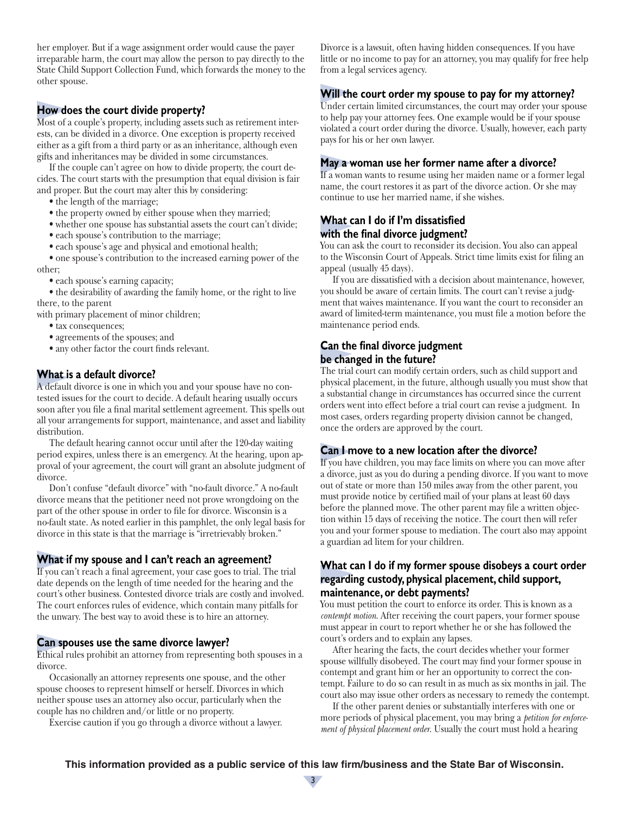her employer. But if a wage assignment order would cause the payer irreparable harm, the court may allow the person to pay directly to the State Child Support Collection Fund, which forwards the money to the other spouse.

## **How does the court divide property?**

Most of a couple's property, including assets such as retirement interests, can be divided in a divorce. One exception is property received either as a gift from a third party or as an inheritance, although even gifts and inheritances may be divided in some circumstances.

If the couple can't agree on how to divide property, the court decides. The court starts with the presumption that equal division is fair and proper. But the court may alter this by considering:

- the length of the marriage;
- the property owned by either spouse when they married;
- whether one spouse has substantial assets the court can't divide;
- each spouse's contribution to the marriage;
- each spouse's age and physical and emotional health;

• one spouse's contribution to the increased earning power of the other;

• each spouse's earning capacity;

• the desirability of awarding the family home, or the right to live there, to the parent

with primary placement of minor children;

- tax consequences;
- agreements of the spouses; and
- any other factor the court finds relevant.

## **What is a default divorce?**

A default divorce is one in which you and your spouse have no contested issues for the court to decide. A default hearing usually occurs soon after you file a final marital settlement agreement. This spells out all your arrangements for support, maintenance, and asset and liability distribution.

The default hearing cannot occur until after the 120-day waiting period expires, unless there is an emergency. At the hearing, upon approval of your agreement, the court will grant an absolute judgment of divorce.

Don't confuse "default divorce" with "no-fault divorce." A no-fault divorce means that the petitioner need not prove wrongdoing on the part of the other spouse in order to file for divorce. Wisconsin is a no-fault state. As noted earlier in this pamphlet, the only legal basis for divorce in this state is that the marriage is "irretrievably broken."

#### **What if my spouse and I can't reach an agreement?**

If you can't reach a final agreement, your case goes to trial. The trial date depends on the length of time needed for the hearing and the court's other business. Contested divorce trials are costly and involved. The court enforces rules of evidence, which contain many pitfalls for the unwary. The best way to avoid these is to hire an attorney.

#### **Can spouses use the same divorce lawyer?**

Ethical rules prohibit an attorney from representing both spouses in a divorce.

Occasionally an attorney represents one spouse, and the other spouse chooses to represent himself or herself. Divorces in which neither spouse uses an attorney also occur, particularly when the couple has no children and/or little or no property.

Exercise caution if you go through a divorce without a lawyer.

Divorce is a lawsuit, often having hidden consequences. If you have little or no income to pay for an attorney, you may qualify for free help from a legal services agency.

#### **Will the court order my spouse to pay for my attorney?**

Under certain limited circumstances, the court may order your spouse to help pay your attorney fees. One example would be if your spouse violated a court order during the divorce. Usually, however, each party pays for his or her own lawyer.

#### **May a woman use her former name after a divorce?**

If a woman wants to resume using her maiden name or a former legal name, the court restores it as part of the divorce action. Or she may continue to use her married name, if she wishes.

#### **What can I do if I'm dissatisfied with the final divorce judgment?**

You can ask the court to reconsider its decision. You also can appeal to the Wisconsin Court of Appeals. Strict time limits exist for filing an appeal (usually 45 days).

If you are dissatisfied with a decision about maintenance, however, you should be aware of certain limits. The court can't revise a judgment that waives maintenance. If you want the court to reconsider an award of limited-term maintenance, you must file a motion before the maintenance period ends.

#### **Can the final divorce judgment be changed in the future?**

The trial court can modify certain orders, such as child support and physical placement, in the future, although usually you must show that a substantial change in circumstances has occurred since the current orders went into effect before a trial court can revise a judgment. In most cases, orders regarding property division cannot be changed, once the orders are approved by the court.

#### **Can I move to a new location after the divorce?**

If you have children, you may face limits on where you can move after a divorce, just as you do during a pending divorce. If you want to move out of state or more than 150 miles away from the other parent, you must provide notice by certified mail of your plans at least 60 days before the planned move. The other parent may file a written objection within 15 days of receiving the notice. The court then will refer you and your former spouse to mediation. The court also may appoint a guardian ad litem for your children.

#### **What can I do if my former spouse disobeys a court order regarding custody, physical placement, child support, maintenance, or debt payments?**

You must petition the court to enforce its order. This is known as a *contempt motion*. After receiving the court papers, your former spouse must appear in court to report whether he or she has followed the court's orders and to explain any lapses.

After hearing the facts, the court decides whether your former spouse willfully disobeyed. The court may find your former spouse in contempt and grant him or her an opportunity to correct the contempt. Failure to do so can result in as much as six months in jail. The court also may issue other orders as necessary to remedy the contempt.

If the other parent denies or substantially interferes with one or more periods of physical placement, you may bring a *petition for enforcement of physical placement order*. Usually the court must hold a hearing